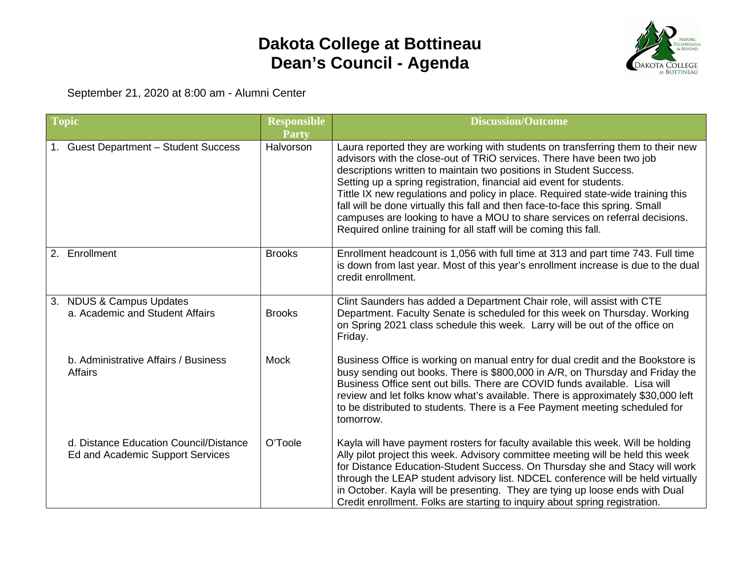## **Dakota College at Bottineau Dean's Council - Agenda**



September 21, 2020 at 8:00 am - Alumni Center

| <b>Topic</b> |                                                                            | <b>Responsible</b><br><b>Party</b> | <b>Discussion/Outcome</b>                                                                                                                                                                                                                                                                                                                                                                                                                                                                                                                                                                                                      |
|--------------|----------------------------------------------------------------------------|------------------------------------|--------------------------------------------------------------------------------------------------------------------------------------------------------------------------------------------------------------------------------------------------------------------------------------------------------------------------------------------------------------------------------------------------------------------------------------------------------------------------------------------------------------------------------------------------------------------------------------------------------------------------------|
|              | 1. Guest Department - Student Success                                      | Halvorson                          | Laura reported they are working with students on transferring them to their new<br>advisors with the close-out of TRiO services. There have been two job<br>descriptions written to maintain two positions in Student Success.<br>Setting up a spring registration, financial aid event for students.<br>Tittle IX new regulations and policy in place. Required state-wide training this<br>fall will be done virtually this fall and then face-to-face this spring. Small<br>campuses are looking to have a MOU to share services on referral decisions.<br>Required online training for all staff will be coming this fall. |
|              | 2. Enrollment                                                              | <b>Brooks</b>                      | Enrollment headcount is 1,056 with full time at 313 and part time 743. Full time<br>is down from last year. Most of this year's enrollment increase is due to the dual<br>credit enrollment.                                                                                                                                                                                                                                                                                                                                                                                                                                   |
|              | 3. NDUS & Campus Updates<br>a. Academic and Student Affairs                | <b>Brooks</b>                      | Clint Saunders has added a Department Chair role, will assist with CTE<br>Department. Faculty Senate is scheduled for this week on Thursday. Working<br>on Spring 2021 class schedule this week. Larry will be out of the office on<br>Friday.                                                                                                                                                                                                                                                                                                                                                                                 |
|              | b. Administrative Affairs / Business<br><b>Affairs</b>                     | <b>Mock</b>                        | Business Office is working on manual entry for dual credit and the Bookstore is<br>busy sending out books. There is \$800,000 in A/R, on Thursday and Friday the<br>Business Office sent out bills. There are COVID funds available. Lisa will<br>review and let folks know what's available. There is approximately \$30,000 left<br>to be distributed to students. There is a Fee Payment meeting scheduled for<br>tomorrow.                                                                                                                                                                                                 |
|              | d. Distance Education Council/Distance<br>Ed and Academic Support Services | O'Toole                            | Kayla will have payment rosters for faculty available this week. Will be holding<br>Ally pilot project this week. Advisory committee meeting will be held this week<br>for Distance Education-Student Success. On Thursday she and Stacy will work<br>through the LEAP student advisory list. NDCEL conference will be held virtually<br>in October. Kayla will be presenting. They are tying up loose ends with Dual<br>Credit enrollment. Folks are starting to inquiry about spring registration.                                                                                                                           |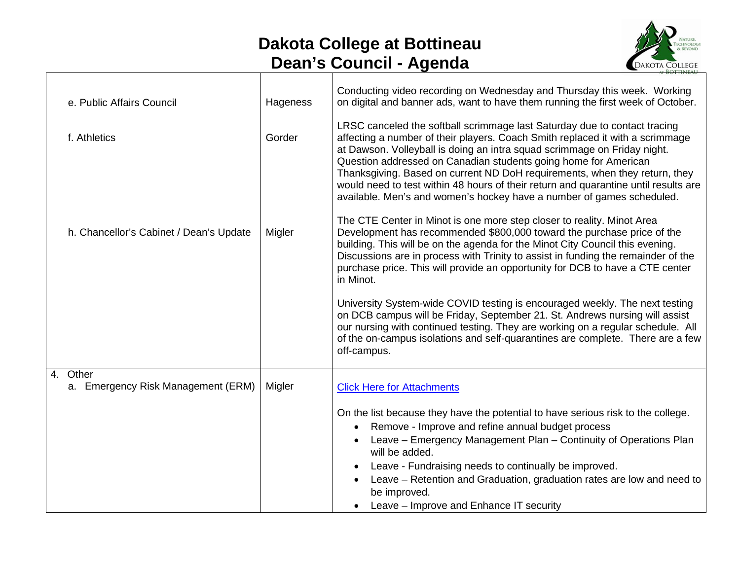## **Dakota College at Bottineau Dean's Council - Agenda**



| e. Public Affairs Council                         | Hageness | Conducting video recording on Wednesday and Thursday this week. Working<br>on digital and banner ads, want to have them running the first week of October.                                                                                                                                                                                                                                                                                                                                                                                              |
|---------------------------------------------------|----------|---------------------------------------------------------------------------------------------------------------------------------------------------------------------------------------------------------------------------------------------------------------------------------------------------------------------------------------------------------------------------------------------------------------------------------------------------------------------------------------------------------------------------------------------------------|
| f. Athletics                                      | Gorder   | LRSC canceled the softball scrimmage last Saturday due to contact tracing<br>affecting a number of their players. Coach Smith replaced it with a scrimmage<br>at Dawson. Volleyball is doing an intra squad scrimmage on Friday night.<br>Question addressed on Canadian students going home for American<br>Thanksgiving. Based on current ND DoH requirements, when they return, they<br>would need to test within 48 hours of their return and quarantine until results are<br>available. Men's and women's hockey have a number of games scheduled. |
| h. Chancellor's Cabinet / Dean's Update           | Migler   | The CTE Center in Minot is one more step closer to reality. Minot Area<br>Development has recommended \$800,000 toward the purchase price of the<br>building. This will be on the agenda for the Minot City Council this evening.<br>Discussions are in process with Trinity to assist in funding the remainder of the<br>purchase price. This will provide an opportunity for DCB to have a CTE center<br>in Minot.                                                                                                                                    |
|                                                   |          | University System-wide COVID testing is encouraged weekly. The next testing<br>on DCB campus will be Friday, September 21. St. Andrews nursing will assist<br>our nursing with continued testing. They are working on a regular schedule. All<br>of the on-campus isolations and self-quarantines are complete. There are a few<br>off-campus.                                                                                                                                                                                                          |
| 4.<br>Other<br>a. Emergency Risk Management (ERM) | Migler   | <b>Click Here for Attachments</b>                                                                                                                                                                                                                                                                                                                                                                                                                                                                                                                       |
|                                                   |          | On the list because they have the potential to have serious risk to the college.<br>Remove - Improve and refine annual budget process<br>Leave - Emergency Management Plan - Continuity of Operations Plan<br>will be added.<br>Leave - Fundraising needs to continually be improved.<br>Leave – Retention and Graduation, graduation rates are low and need to<br>be improved.<br>Leave - Improve and Enhance IT security                                                                                                                              |